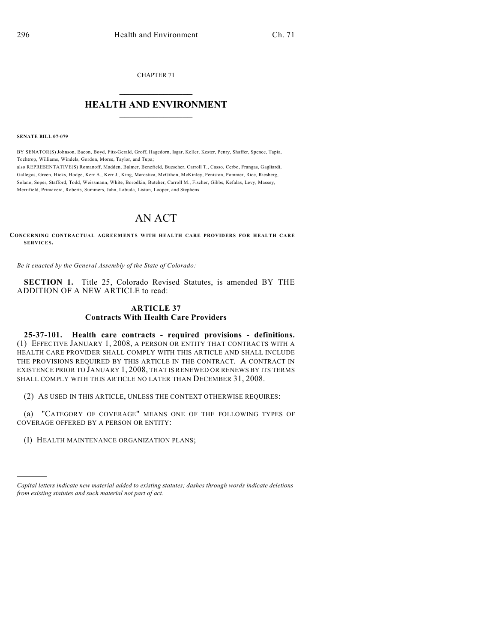CHAPTER 71

## $\mathcal{L}_\text{max}$  . The set of the set of the set of the set of the set of the set of the set of the set of the set of the set of the set of the set of the set of the set of the set of the set of the set of the set of the set **HEALTH AND ENVIRONMENT**  $\_$

**SENATE BILL 07-079**

)))))

BY SENATOR(S) Johnson, Bacon, Boyd, Fitz-Gerald, Groff, Hagedorn, Isgar, Keller, Kester, Penry, Shaffer, Spence, Tapia, Tochtrop, Williams, Windels, Gordon, Morse, Taylor, and Tupa; also REPRESENTATIVE(S) Romanoff, Madden, Balmer, Benefield, Buescher, Carroll T., Casso, Cerbo, Frangas, Gagliardi, Gallegos, Green, Hicks, Hodge, Kerr A., Kerr J., King, Marostica, McGihon, McKinley, Peniston, Pommer, Rice, Riesberg, Solano, Soper, Stafford, Todd, Weissmann, White, Borodkin, Butcher, Carroll M., Fischer, Gibbs, Kefalas, Levy, Massey,

Merrifield, Primavera, Roberts, Summers, Jahn, Labuda, Liston, Looper, and Stephens.

## AN ACT

**CONCERNING CONTRACTUAL AGREEMENTS WITH HEALTH CARE PROVIDERS FOR HEALTH CARE SERVICES.**

*Be it enacted by the General Assembly of the State of Colorado:*

**SECTION 1.** Title 25, Colorado Revised Statutes, is amended BY THE ADDITION OF A NEW ARTICLE to read:

## **ARTICLE 37 Contracts With Health Care Providers**

**25-37-101. Health care contracts - required provisions - definitions.** (1) EFFECTIVE JANUARY 1, 2008, A PERSON OR ENTITY THAT CONTRACTS WITH A HEALTH CARE PROVIDER SHALL COMPLY WITH THIS ARTICLE AND SHALL INCLUDE THE PROVISIONS REQUIRED BY THIS ARTICLE IN THE CONTRACT. A CONTRACT IN EXISTENCE PRIOR TO JANUARY 1, 2008, THAT IS RENEWED OR RENEWS BY ITS TERMS SHALL COMPLY WITH THIS ARTICLE NO LATER THAN DECEMBER 31, 2008.

(2) AS USED IN THIS ARTICLE, UNLESS THE CONTEXT OTHERWISE REQUIRES:

(a) "CATEGORY OF COVERAGE" MEANS ONE OF THE FOLLOWING TYPES OF COVERAGE OFFERED BY A PERSON OR ENTITY:

(I) HEALTH MAINTENANCE ORGANIZATION PLANS;

*Capital letters indicate new material added to existing statutes; dashes through words indicate deletions from existing statutes and such material not part of act.*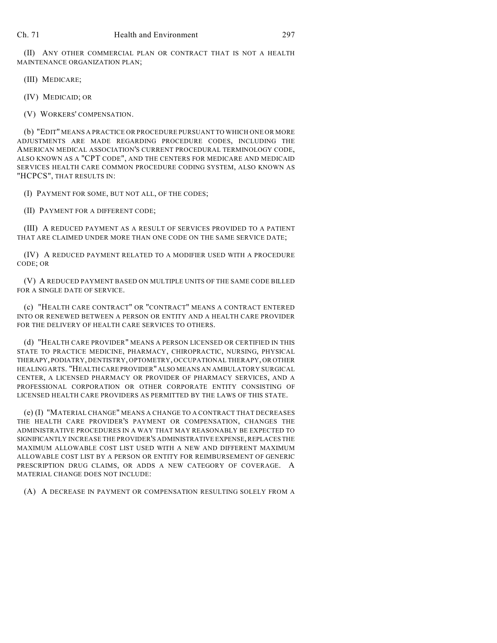(II) ANY OTHER COMMERCIAL PLAN OR CONTRACT THAT IS NOT A HEALTH MAINTENANCE ORGANIZATION PLAN;

(III) MEDICARE;

(IV) MEDICAID; OR

(V) WORKERS' COMPENSATION.

(b) "EDIT" MEANS A PRACTICE OR PROCEDURE PURSUANT TO WHICH ONE OR MORE ADJUSTMENTS ARE MADE REGARDING PROCEDURE CODES, INCLUDING THE AMERICAN MEDICAL ASSOCIATION'S CURRENT PROCEDURAL TERMINOLOGY CODE, ALSO KNOWN AS A "CPT CODE", AND THE CENTERS FOR MEDICARE AND MEDICAID SERVICES HEALTH CARE COMMON PROCEDURE CODING SYSTEM, ALSO KNOWN AS "HCPCS", THAT RESULTS IN:

(I) PAYMENT FOR SOME, BUT NOT ALL, OF THE CODES;

(II) PAYMENT FOR A DIFFERENT CODE;

(III) A REDUCED PAYMENT AS A RESULT OF SERVICES PROVIDED TO A PATIENT THAT ARE CLAIMED UNDER MORE THAN ONE CODE ON THE SAME SERVICE DATE;

(IV) A REDUCED PAYMENT RELATED TO A MODIFIER USED WITH A PROCEDURE CODE; OR

(V) A REDUCED PAYMENT BASED ON MULTIPLE UNITS OF THE SAME CODE BILLED FOR A SINGLE DATE OF SERVICE.

(c) "HEALTH CARE CONTRACT" OR "CONTRACT" MEANS A CONTRACT ENTERED INTO OR RENEWED BETWEEN A PERSON OR ENTITY AND A HEALTH CARE PROVIDER FOR THE DELIVERY OF HEALTH CARE SERVICES TO OTHERS.

(d) "HEALTH CARE PROVIDER" MEANS A PERSON LICENSED OR CERTIFIED IN THIS STATE TO PRACTICE MEDICINE, PHARMACY, CHIROPRACTIC, NURSING, PHYSICAL THERAPY, PODIATRY, DENTISTRY, OPTOMETRY, OCCUPATIONAL THERAPY, OR OTHER HEALING ARTS. "HEALTH CARE PROVIDER" ALSO MEANS AN AMBULATORY SURGICAL CENTER, A LICENSED PHARMACY OR PROVIDER OF PHARMACY SERVICES, AND A PROFESSIONAL CORPORATION OR OTHER CORPORATE ENTITY CONSISTING OF LICENSED HEALTH CARE PROVIDERS AS PERMITTED BY THE LAWS OF THIS STATE.

(e) (I) "MATERIAL CHANGE" MEANS A CHANGE TO A CONTRACT THAT DECREASES THE HEALTH CARE PROVIDER'S PAYMENT OR COMPENSATION, CHANGES THE ADMINISTRATIVE PROCEDURES IN A WAY THAT MAY REASONABLY BE EXPECTED TO SIGNIFICANTLY INCREASE THE PROVIDER'S ADMINISTRATIVE EXPENSE, REPLACES THE MAXIMUM ALLOWABLE COST LIST USED WITH A NEW AND DIFFERENT MAXIMUM ALLOWABLE COST LIST BY A PERSON OR ENTITY FOR REIMBURSEMENT OF GENERIC PRESCRIPTION DRUG CLAIMS, OR ADDS A NEW CATEGORY OF COVERAGE. A MATERIAL CHANGE DOES NOT INCLUDE:

(A) A DECREASE IN PAYMENT OR COMPENSATION RESULTING SOLELY FROM A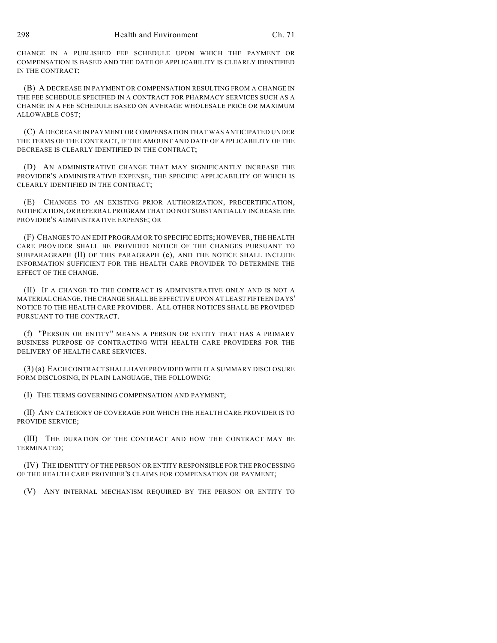CHANGE IN A PUBLISHED FEE SCHEDULE UPON WHICH THE PAYMENT OR COMPENSATION IS BASED AND THE DATE OF APPLICABILITY IS CLEARLY IDENTIFIED IN THE CONTRACT;

(B) A DECREASE IN PAYMENT OR COMPENSATION RESULTING FROM A CHANGE IN THE FEE SCHEDULE SPECIFIED IN A CONTRACT FOR PHARMACY SERVICES SUCH AS A CHANGE IN A FEE SCHEDULE BASED ON AVERAGE WHOLESALE PRICE OR MAXIMUM ALLOWABLE COST;

(C) A DECREASE IN PAYMENT OR COMPENSATION THAT WAS ANTICIPATED UNDER THE TERMS OF THE CONTRACT, IF THE AMOUNT AND DATE OF APPLICABILITY OF THE DECREASE IS CLEARLY IDENTIFIED IN THE CONTRACT;

(D) AN ADMINISTRATIVE CHANGE THAT MAY SIGNIFICANTLY INCREASE THE PROVIDER'S ADMINISTRATIVE EXPENSE, THE SPECIFIC APPLICABILITY OF WHICH IS CLEARLY IDENTIFIED IN THE CONTRACT;

(E) CHANGES TO AN EXISTING PRIOR AUTHORIZATION, PRECERTIFICATION, NOTIFICATION, OR REFERRAL PROGRAM THAT DO NOT SUBSTANTIALLY INCREASE THE PROVIDER'S ADMINISTRATIVE EXPENSE; OR

(F) CHANGES TO AN EDIT PROGRAM OR TO SPECIFIC EDITS; HOWEVER, THE HEALTH CARE PROVIDER SHALL BE PROVIDED NOTICE OF THE CHANGES PURSUANT TO SUBPARAGRAPH (II) OF THIS PARAGRAPH (e), AND THE NOTICE SHALL INCLUDE INFORMATION SUFFICIENT FOR THE HEALTH CARE PROVIDER TO DETERMINE THE EFFECT OF THE CHANGE.

(II) IF A CHANGE TO THE CONTRACT IS ADMINISTRATIVE ONLY AND IS NOT A MATERIAL CHANGE, THE CHANGE SHALL BE EFFECTIVE UPON AT LEAST FIFTEEN DAYS' NOTICE TO THE HEALTH CARE PROVIDER. ALL OTHER NOTICES SHALL BE PROVIDED PURSUANT TO THE CONTRACT.

(f) "PERSON OR ENTITY" MEANS A PERSON OR ENTITY THAT HAS A PRIMARY BUSINESS PURPOSE OF CONTRACTING WITH HEALTH CARE PROVIDERS FOR THE DELIVERY OF HEALTH CARE SERVICES.

(3) (a) EACH CONTRACT SHALL HAVE PROVIDED WITH IT A SUMMARY DISCLOSURE FORM DISCLOSING, IN PLAIN LANGUAGE, THE FOLLOWING:

(I) THE TERMS GOVERNING COMPENSATION AND PAYMENT;

(II) ANY CATEGORY OF COVERAGE FOR WHICH THE HEALTH CARE PROVIDER IS TO PROVIDE SERVICE;

(III) THE DURATION OF THE CONTRACT AND HOW THE CONTRACT MAY BE TERMINATED;

(IV) THE IDENTITY OF THE PERSON OR ENTITY RESPONSIBLE FOR THE PROCESSING OF THE HEALTH CARE PROVIDER'S CLAIMS FOR COMPENSATION OR PAYMENT;

(V) ANY INTERNAL MECHANISM REQUIRED BY THE PERSON OR ENTITY TO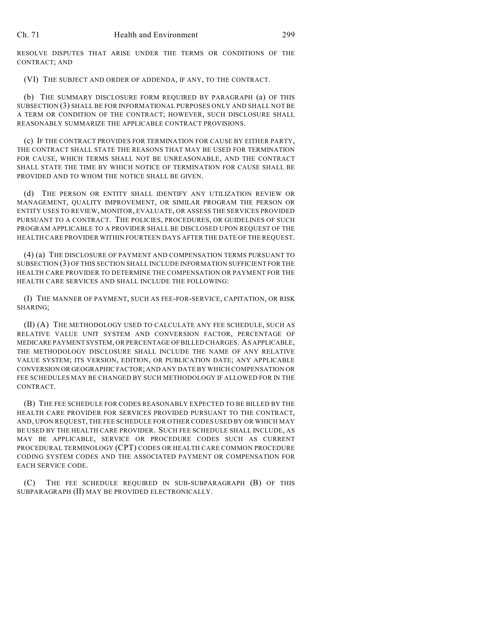RESOLVE DISPUTES THAT ARISE UNDER THE TERMS OR CONDITIONS OF THE CONTRACT; AND

(VI) THE SUBJECT AND ORDER OF ADDENDA, IF ANY, TO THE CONTRACT.

(b) THE SUMMARY DISCLOSURE FORM REQUIRED BY PARAGRAPH (a) OF THIS SUBSECTION (3) SHALL BE FOR INFORMATIONAL PURPOSES ONLY AND SHALL NOT BE A TERM OR CONDITION OF THE CONTRACT; HOWEVER, SUCH DISCLOSURE SHALL REASONABLY SUMMARIZE THE APPLICABLE CONTRACT PROVISIONS.

(c) IF THE CONTRACT PROVIDES FOR TERMINATION FOR CAUSE BY EITHER PARTY, THE CONTRACT SHALL STATE THE REASONS THAT MAY BE USED FOR TERMINATION FOR CAUSE, WHICH TERMS SHALL NOT BE UNREASONABLE, AND THE CONTRACT SHALL STATE THE TIME BY WHICH NOTICE OF TERMINATION FOR CAUSE SHALL BE PROVIDED AND TO WHOM THE NOTICE SHALL BE GIVEN.

(d) THE PERSON OR ENTITY SHALL IDENTIFY ANY UTILIZATION REVIEW OR MANAGEMENT, QUALITY IMPROVEMENT, OR SIMILAR PROGRAM THE PERSON OR ENTITY USES TO REVIEW, MONITOR, EVALUATE, OR ASSESS THE SERVICES PROVIDED PURSUANT TO A CONTRACT. THE POLICIES, PROCEDURES, OR GUIDELINES OF SUCH PROGRAM APPLICABLE TO A PROVIDER SHALL BE DISCLOSED UPON REQUEST OF THE HEALTH CARE PROVIDER WITHIN FOURTEEN DAYS AFTER THE DATE OF THE REQUEST.

(4) (a) THE DISCLOSURE OF PAYMENT AND COMPENSATION TERMS PURSUANT TO SUBSECTION (3) OF THIS SECTION SHALL INCLUDE INFORMATION SUFFICIENT FOR THE HEALTH CARE PROVIDER TO DETERMINE THE COMPENSATION OR PAYMENT FOR THE HEALTH CARE SERVICES AND SHALL INCLUDE THE FOLLOWING:

(I) THE MANNER OF PAYMENT, SUCH AS FEE-FOR-SERVICE, CAPITATION, OR RISK SHARING;

(II) (A) THE METHODOLOGY USED TO CALCULATE ANY FEE SCHEDULE, SUCH AS RELATIVE VALUE UNIT SYSTEM AND CONVERSION FACTOR, PERCENTAGE OF MEDICARE PAYMENT SYSTEM, OR PERCENTAGE OF BILLED CHARGES. AS APPLICABLE, THE METHODOLOGY DISCLOSURE SHALL INCLUDE THE NAME OF ANY RELATIVE VALUE SYSTEM; ITS VERSION, EDITION, OR PUBLICATION DATE; ANY APPLICABLE CONVERSION OR GEOGRAPHIC FACTOR; AND ANY DATE BY WHICH COMPENSATION OR FEE SCHEDULES MAY BE CHANGED BY SUCH METHODOLOGY IF ALLOWED FOR IN THE CONTRACT.

(B) THE FEE SCHEDULE FOR CODES REASONABLY EXPECTED TO BE BILLED BY THE HEALTH CARE PROVIDER FOR SERVICES PROVIDED PURSUANT TO THE CONTRACT, AND, UPON REQUEST, THE FEE SCHEDULE FOR OTHER CODES USED BY OR WHICH MAY BE USED BY THE HEALTH CARE PROVIDER. SUCH FEE SCHEDULE SHALL INCLUDE, AS MAY BE APPLICABLE, SERVICE OR PROCEDURE CODES SUCH AS CURRENT PROCEDURAL TERMINOLOGY (CPT) CODES OR HEALTH CARE COMMON PROCEDURE CODING SYSTEM CODES AND THE ASSOCIATED PAYMENT OR COMPENSATION FOR EACH SERVICE CODE.

(C) THE FEE SCHEDULE REQUIRED IN SUB-SUBPARAGRAPH (B) OF THIS SUBPARAGRAPH (II) MAY BE PROVIDED ELECTRONICALLY.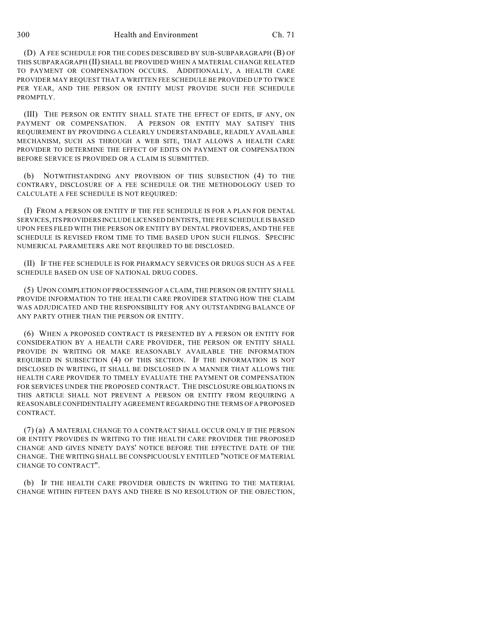300 Health and Environment Ch. 71

(D) A FEE SCHEDULE FOR THE CODES DESCRIBED BY SUB-SUBPARAGRAPH (B) OF THIS SUBPARAGRAPH (II) SHALL BE PROVIDED WHEN A MATERIAL CHANGE RELATED TO PAYMENT OR COMPENSATION OCCURS. ADDITIONALLY, A HEALTH CARE PROVIDER MAY REQUEST THAT A WRITTEN FEE SCHEDULE BE PROVIDED UP TO TWICE PER YEAR, AND THE PERSON OR ENTITY MUST PROVIDE SUCH FEE SCHEDULE PROMPTLY.

(III) THE PERSON OR ENTITY SHALL STATE THE EFFECT OF EDITS, IF ANY, ON PAYMENT OR COMPENSATION. A PERSON OR ENTITY MAY SATISFY THIS REQUIREMENT BY PROVIDING A CLEARLY UNDERSTANDABLE, READILY AVAILABLE MECHANISM, SUCH AS THROUGH A WEB SITE, THAT ALLOWS A HEALTH CARE PROVIDER TO DETERMINE THE EFFECT OF EDITS ON PAYMENT OR COMPENSATION BEFORE SERVICE IS PROVIDED OR A CLAIM IS SUBMITTED.

(b) NOTWITHSTANDING ANY PROVISION OF THIS SUBSECTION (4) TO THE CONTRARY, DISCLOSURE OF A FEE SCHEDULE OR THE METHODOLOGY USED TO CALCULATE A FEE SCHEDULE IS NOT REQUIRED:

(I) FROM A PERSON OR ENTITY IF THE FEE SCHEDULE IS FOR A PLAN FOR DENTAL SERVICES, ITS PROVIDERS INCLUDE LICENSED DENTISTS, THE FEE SCHEDULE IS BASED UPON FEES FILED WITH THE PERSON OR ENTITY BY DENTAL PROVIDERS, AND THE FEE SCHEDULE IS REVISED FROM TIME TO TIME BASED UPON SUCH FILINGS. SPECIFIC NUMERICAL PARAMETERS ARE NOT REQUIRED TO BE DISCLOSED.

(II) IF THE FEE SCHEDULE IS FOR PHARMACY SERVICES OR DRUGS SUCH AS A FEE SCHEDULE BASED ON USE OF NATIONAL DRUG CODES.

(5) UPON COMPLETION OF PROCESSING OF A CLAIM, THE PERSON OR ENTITY SHALL PROVIDE INFORMATION TO THE HEALTH CARE PROVIDER STATING HOW THE CLAIM WAS ADJUDICATED AND THE RESPONSIBILITY FOR ANY OUTSTANDING BALANCE OF ANY PARTY OTHER THAN THE PERSON OR ENTITY.

(6) WHEN A PROPOSED CONTRACT IS PRESENTED BY A PERSON OR ENTITY FOR CONSIDERATION BY A HEALTH CARE PROVIDER, THE PERSON OR ENTITY SHALL PROVIDE IN WRITING OR MAKE REASONABLY AVAILABLE THE INFORMATION REQUIRED IN SUBSECTION (4) OF THIS SECTION. IF THE INFORMATION IS NOT DISCLOSED IN WRITING, IT SHALL BE DISCLOSED IN A MANNER THAT ALLOWS THE HEALTH CARE PROVIDER TO TIMELY EVALUATE THE PAYMENT OR COMPENSATION FOR SERVICES UNDER THE PROPOSED CONTRACT. THE DISCLOSURE OBLIGATIONS IN THIS ARTICLE SHALL NOT PREVENT A PERSON OR ENTITY FROM REQUIRING A REASONABLE CONFIDENTIALITY AGREEMENT REGARDING THE TERMS OF A PROPOSED CONTRACT.

(7) (a) A MATERIAL CHANGE TO A CONTRACT SHALL OCCUR ONLY IF THE PERSON OR ENTITY PROVIDES IN WRITING TO THE HEALTH CARE PROVIDER THE PROPOSED CHANGE AND GIVES NINETY DAYS' NOTICE BEFORE THE EFFECTIVE DATE OF THE CHANGE. THE WRITING SHALL BE CONSPICUOUSLY ENTITLED "NOTICE OF MATERIAL CHANGE TO CONTRACT".

(b) IF THE HEALTH CARE PROVIDER OBJECTS IN WRITING TO THE MATERIAL CHANGE WITHIN FIFTEEN DAYS AND THERE IS NO RESOLUTION OF THE OBJECTION,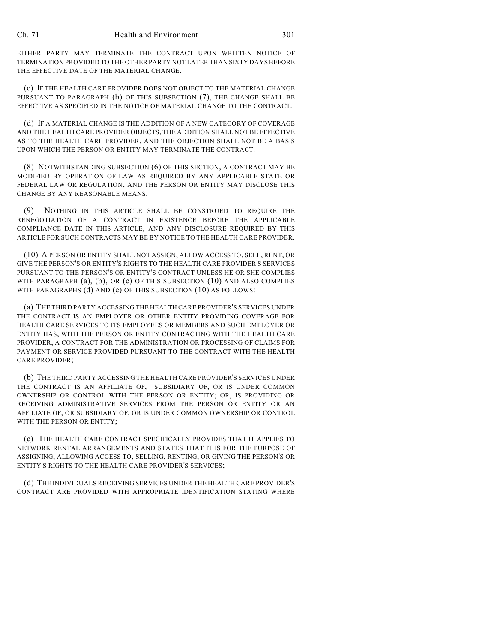EITHER PARTY MAY TERMINATE THE CONTRACT UPON WRITTEN NOTICE OF TERMINATION PROVIDED TO THE OTHER PARTY NOT LATER THAN SIXTY DAYS BEFORE THE EFFECTIVE DATE OF THE MATERIAL CHANGE.

(c) IF THE HEALTH CARE PROVIDER DOES NOT OBJECT TO THE MATERIAL CHANGE PURSUANT TO PARAGRAPH (b) OF THIS SUBSECTION (7), THE CHANGE SHALL BE EFFECTIVE AS SPECIFIED IN THE NOTICE OF MATERIAL CHANGE TO THE CONTRACT.

(d) IF A MATERIAL CHANGE IS THE ADDITION OF A NEW CATEGORY OF COVERAGE AND THE HEALTH CARE PROVIDER OBJECTS, THE ADDITION SHALL NOT BE EFFECTIVE AS TO THE HEALTH CARE PROVIDER, AND THE OBJECTION SHALL NOT BE A BASIS UPON WHICH THE PERSON OR ENTITY MAY TERMINATE THE CONTRACT.

(8) NOTWITHSTANDING SUBSECTION (6) OF THIS SECTION, A CONTRACT MAY BE MODIFIED BY OPERATION OF LAW AS REQUIRED BY ANY APPLICABLE STATE OR FEDERAL LAW OR REGULATION, AND THE PERSON OR ENTITY MAY DISCLOSE THIS CHANGE BY ANY REASONABLE MEANS.

(9) NOTHING IN THIS ARTICLE SHALL BE CONSTRUED TO REQUIRE THE RENEGOTIATION OF A CONTRACT IN EXISTENCE BEFORE THE APPLICABLE COMPLIANCE DATE IN THIS ARTICLE, AND ANY DISCLOSURE REQUIRED BY THIS ARTICLE FOR SUCH CONTRACTS MAY BE BY NOTICE TO THE HEALTH CARE PROVIDER.

(10) A PERSON OR ENTITY SHALL NOT ASSIGN, ALLOW ACCESS TO, SELL, RENT, OR GIVE THE PERSON'S OR ENTITY'S RIGHTS TO THE HEALTH CARE PROVIDER'S SERVICES PURSUANT TO THE PERSON'S OR ENTITY'S CONTRACT UNLESS HE OR SHE COMPLIES WITH PARAGRAPH (a), (b), OR (c) OF THIS SUBSECTION (10) AND ALSO COMPLIES WITH PARAGRAPHS (d) AND (e) OF THIS SUBSECTION (10) AS FOLLOWS:

(a) THE THIRD PARTY ACCESSING THE HEALTH CARE PROVIDER'S SERVICES UNDER THE CONTRACT IS AN EMPLOYER OR OTHER ENTITY PROVIDING COVERAGE FOR HEALTH CARE SERVICES TO ITS EMPLOYEES OR MEMBERS AND SUCH EMPLOYER OR ENTITY HAS, WITH THE PERSON OR ENTITY CONTRACTING WITH THE HEALTH CARE PROVIDER, A CONTRACT FOR THE ADMINISTRATION OR PROCESSING OF CLAIMS FOR PAYMENT OR SERVICE PROVIDED PURSUANT TO THE CONTRACT WITH THE HEALTH CARE PROVIDER;

(b) THE THIRD PARTY ACCESSING THE HEALTH CARE PROVIDER'S SERVICES UNDER THE CONTRACT IS AN AFFILIATE OF, SUBSIDIARY OF, OR IS UNDER COMMON OWNERSHIP OR CONTROL WITH THE PERSON OR ENTITY; OR, IS PROVIDING OR RECEIVING ADMINISTRATIVE SERVICES FROM THE PERSON OR ENTITY OR AN AFFILIATE OF, OR SUBSIDIARY OF, OR IS UNDER COMMON OWNERSHIP OR CONTROL WITH THE PERSON OR ENTITY:

(c) THE HEALTH CARE CONTRACT SPECIFICALLY PROVIDES THAT IT APPLIES TO NETWORK RENTAL ARRANGEMENTS AND STATES THAT IT IS FOR THE PURPOSE OF ASSIGNING, ALLOWING ACCESS TO, SELLING, RENTING, OR GIVING THE PERSON'S OR ENTITY'S RIGHTS TO THE HEALTH CARE PROVIDER'S SERVICES;

(d) THE INDIVIDUALS RECEIVING SERVICES UNDER THE HEALTH CARE PROVIDER'S CONTRACT ARE PROVIDED WITH APPROPRIATE IDENTIFICATION STATING WHERE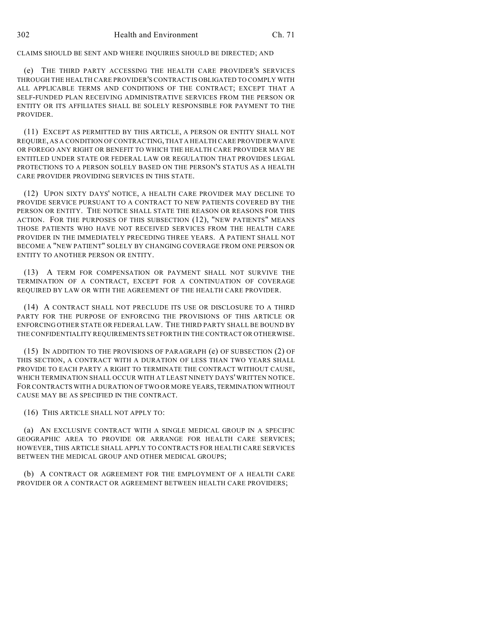CLAIMS SHOULD BE SENT AND WHERE INQUIRIES SHOULD BE DIRECTED; AND

(e) THE THIRD PARTY ACCESSING THE HEALTH CARE PROVIDER'S SERVICES THROUGH THE HEALTH CARE PROVIDER'S CONTRACT IS OBLIGATED TO COMPLY WITH ALL APPLICABLE TERMS AND CONDITIONS OF THE CONTRACT; EXCEPT THAT A SELF-FUNDED PLAN RECEIVING ADMINISTRATIVE SERVICES FROM THE PERSON OR ENTITY OR ITS AFFILIATES SHALL BE SOLELY RESPONSIBLE FOR PAYMENT TO THE PROVIDER.

(11) EXCEPT AS PERMITTED BY THIS ARTICLE, A PERSON OR ENTITY SHALL NOT REQUIRE, AS A CONDITION OF CONTRACTING, THAT A HEALTH CARE PROVIDER WAIVE OR FOREGO ANY RIGHT OR BENEFIT TO WHICH THE HEALTH CARE PROVIDER MAY BE ENTITLED UNDER STATE OR FEDERAL LAW OR REGULATION THAT PROVIDES LEGAL PROTECTIONS TO A PERSON SOLELY BASED ON THE PERSON'S STATUS AS A HEALTH CARE PROVIDER PROVIDING SERVICES IN THIS STATE.

(12) UPON SIXTY DAYS' NOTICE, A HEALTH CARE PROVIDER MAY DECLINE TO PROVIDE SERVICE PURSUANT TO A CONTRACT TO NEW PATIENTS COVERED BY THE PERSON OR ENTITY. THE NOTICE SHALL STATE THE REASON OR REASONS FOR THIS ACTION. FOR THE PURPOSES OF THIS SUBSECTION (12), "NEW PATIENTS" MEANS THOSE PATIENTS WHO HAVE NOT RECEIVED SERVICES FROM THE HEALTH CARE PROVIDER IN THE IMMEDIATELY PRECEDING THREE YEARS. A PATIENT SHALL NOT BECOME A "NEW PATIENT" SOLELY BY CHANGING COVERAGE FROM ONE PERSON OR ENTITY TO ANOTHER PERSON OR ENTITY.

(13) A TERM FOR COMPENSATION OR PAYMENT SHALL NOT SURVIVE THE TERMINATION OF A CONTRACT, EXCEPT FOR A CONTINUATION OF COVERAGE REQUIRED BY LAW OR WITH THE AGREEMENT OF THE HEALTH CARE PROVIDER.

(14) A CONTRACT SHALL NOT PRECLUDE ITS USE OR DISCLOSURE TO A THIRD PARTY FOR THE PURPOSE OF ENFORCING THE PROVISIONS OF THIS ARTICLE OR ENFORCING OTHER STATE OR FEDERAL LAW. THE THIRD PARTY SHALL BE BOUND BY THE CONFIDENTIALITY REQUIREMENTS SET FORTH IN THE CONTRACT OR OTHERWISE.

(15) IN ADDITION TO THE PROVISIONS OF PARAGRAPH (e) OF SUBSECTION (2) OF THIS SECTION, A CONTRACT WITH A DURATION OF LESS THAN TWO YEARS SHALL PROVIDE TO EACH PARTY A RIGHT TO TERMINATE THE CONTRACT WITHOUT CAUSE, WHICH TERMINATION SHALL OCCUR WITH AT LEAST NINETY DAYS' WRITTEN NOTICE. FOR CONTRACTS WITH A DURATION OF TWO OR MORE YEARS, TERMINATION WITHOUT CAUSE MAY BE AS SPECIFIED IN THE CONTRACT.

(16) THIS ARTICLE SHALL NOT APPLY TO:

(a) AN EXCLUSIVE CONTRACT WITH A SINGLE MEDICAL GROUP IN A SPECIFIC GEOGRAPHIC AREA TO PROVIDE OR ARRANGE FOR HEALTH CARE SERVICES; HOWEVER, THIS ARTICLE SHALL APPLY TO CONTRACTS FOR HEALTH CARE SERVICES BETWEEN THE MEDICAL GROUP AND OTHER MEDICAL GROUPS;

(b) A CONTRACT OR AGREEMENT FOR THE EMPLOYMENT OF A HEALTH CARE PROVIDER OR A CONTRACT OR AGREEMENT BETWEEN HEALTH CARE PROVIDERS;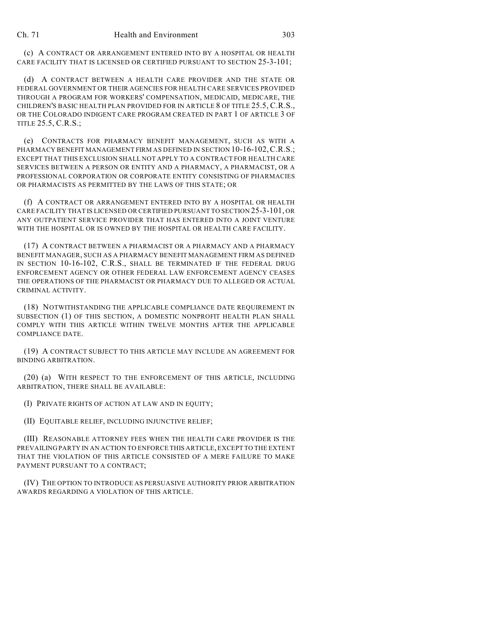(c) A CONTRACT OR ARRANGEMENT ENTERED INTO BY A HOSPITAL OR HEALTH CARE FACILITY THAT IS LICENSED OR CERTIFIED PURSUANT TO SECTION 25-3-101;

(d) A CONTRACT BETWEEN A HEALTH CARE PROVIDER AND THE STATE OR FEDERAL GOVERNMENT OR THEIR AGENCIES FOR HEALTH CARE SERVICES PROVIDED THROUGH A PROGRAM FOR WORKERS' COMPENSATION, MEDICAID, MEDICARE, THE CHILDREN'S BASIC HEALTH PLAN PROVIDED FOR IN ARTICLE 8 OF TITLE 25.5, C.R.S., OR THE COLORADO INDIGENT CARE PROGRAM CREATED IN PART 1 OF ARTICLE 3 OF TITLE 25.5, C.R.S.;

(e) CONTRACTS FOR PHARMACY BENEFIT MANAGEMENT, SUCH AS WITH A PHARMACY BENEFIT MANAGEMENT FIRM AS DEFINED IN SECTION 10-16-102, C.R.S.; EXCEPT THAT THIS EXCLUSION SHALL NOT APPLY TO A CONTRACT FOR HEALTH CARE SERVICES BETWEEN A PERSON OR ENTITY AND A PHARMACY, A PHARMACIST, OR A PROFESSIONAL CORPORATION OR CORPORATE ENTITY CONSISTING OF PHARMACIES OR PHARMACISTS AS PERMITTED BY THE LAWS OF THIS STATE; OR

(f) A CONTRACT OR ARRANGEMENT ENTERED INTO BY A HOSPITAL OR HEALTH CARE FACILITY THAT IS LICENSED OR CERTIFIED PURSUANT TO SECTION 25-3-101, OR ANY OUTPATIENT SERVICE PROVIDER THAT HAS ENTERED INTO A JOINT VENTURE WITH THE HOSPITAL OR IS OWNED BY THE HOSPITAL OR HEALTH CARE FACILITY.

(17) A CONTRACT BETWEEN A PHARMACIST OR A PHARMACY AND A PHARMACY BENEFIT MANAGER, SUCH AS A PHARMACY BENEFIT MANAGEMENT FIRM AS DEFINED IN SECTION 10-16-102, C.R.S., SHALL BE TERMINATED IF THE FEDERAL DRUG ENFORCEMENT AGENCY OR OTHER FEDERAL LAW ENFORCEMENT AGENCY CEASES THE OPERATIONS OF THE PHARMACIST OR PHARMACY DUE TO ALLEGED OR ACTUAL CRIMINAL ACTIVITY.

(18) NOTWITHSTANDING THE APPLICABLE COMPLIANCE DATE REQUIREMENT IN SUBSECTION (1) OF THIS SECTION, A DOMESTIC NONPROFIT HEALTH PLAN SHALL COMPLY WITH THIS ARTICLE WITHIN TWELVE MONTHS AFTER THE APPLICABLE COMPLIANCE DATE.

(19) A CONTRACT SUBJECT TO THIS ARTICLE MAY INCLUDE AN AGREEMENT FOR BINDING ARBITRATION.

(20) (a) WITH RESPECT TO THE ENFORCEMENT OF THIS ARTICLE, INCLUDING ARBITRATION, THERE SHALL BE AVAILABLE:

(I) PRIVATE RIGHTS OF ACTION AT LAW AND IN EQUITY;

(II) EQUITABLE RELIEF, INCLUDING INJUNCTIVE RELIEF;

(III) REASONABLE ATTORNEY FEES WHEN THE HEALTH CARE PROVIDER IS THE PREVAILING PARTY IN AN ACTION TO ENFORCE THIS ARTICLE, EXCEPT TO THE EXTENT THAT THE VIOLATION OF THIS ARTICLE CONSISTED OF A MERE FAILURE TO MAKE PAYMENT PURSUANT TO A CONTRACT;

(IV) THE OPTION TO INTRODUCE AS PERSUASIVE AUTHORITY PRIOR ARBITRATION AWARDS REGARDING A VIOLATION OF THIS ARTICLE.